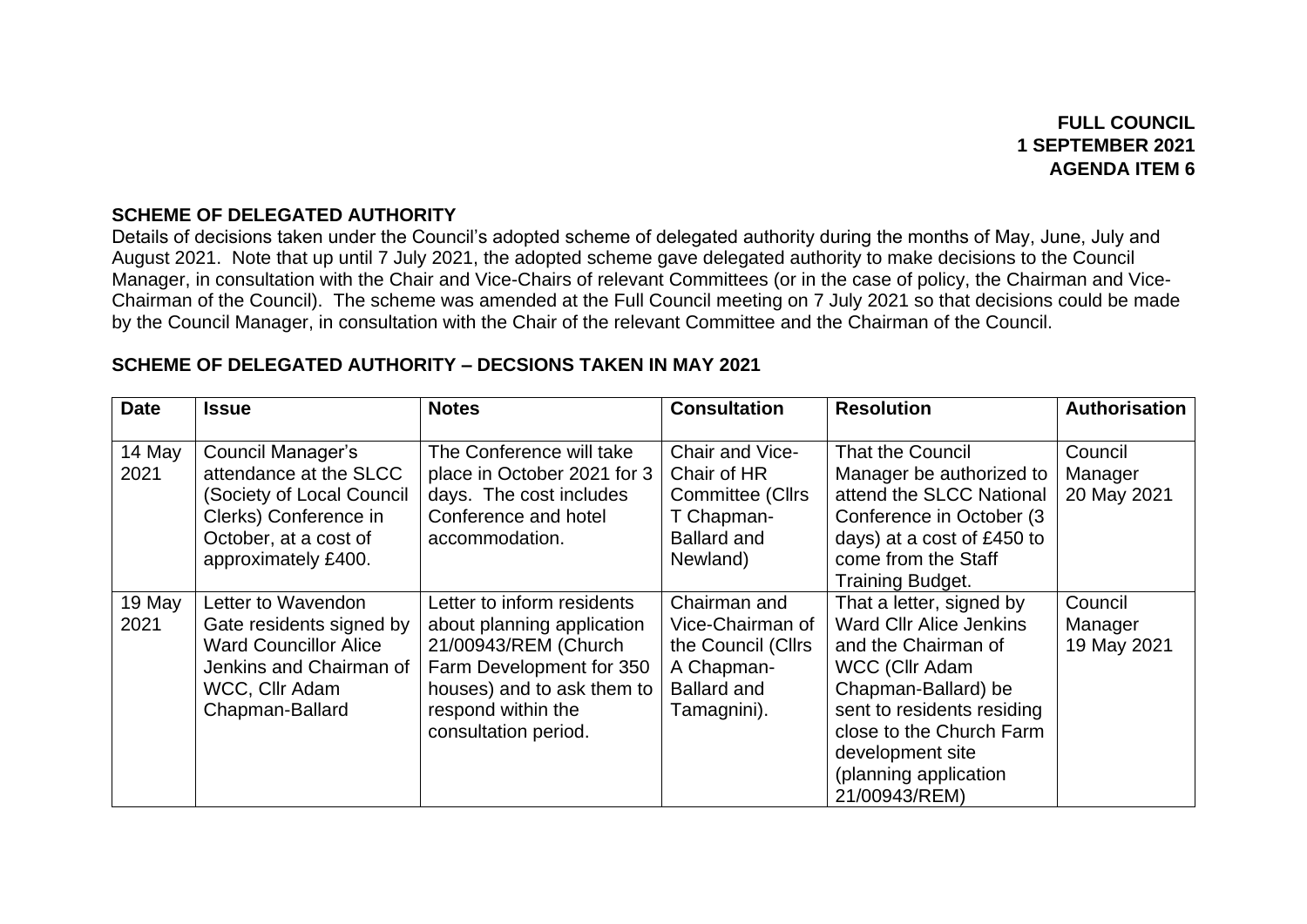## **FULL COUNCIL 1 SEPTEMBER 2021 AGENDA ITEM 6**

#### **SCHEME OF DELEGATED AUTHORITY**

Details of decisions taken under the Council's adopted scheme of delegated authority during the months of May, June, July and August 2021. Note that up until 7 July 2021, the adopted scheme gave delegated authority to make decisions to the Council Manager, in consultation with the Chair and Vice-Chairs of relevant Committees (or in the case of policy, the Chairman and Vice-Chairman of the Council). The scheme was amended at the Full Council meeting on 7 July 2021 so that decisions could be made by the Council Manager, in consultation with the Chair of the relevant Committee and the Chairman of the Council.

| <b>Date</b>    | <b>Issue</b>                                                                                                                                      | <b>Notes</b>                                                                                                                                                                             | <b>Consultation</b>                                                                                       | <b>Resolution</b>                                                                                                                                                                                                                                         | <b>Authorisation</b>              |
|----------------|---------------------------------------------------------------------------------------------------------------------------------------------------|------------------------------------------------------------------------------------------------------------------------------------------------------------------------------------------|-----------------------------------------------------------------------------------------------------------|-----------------------------------------------------------------------------------------------------------------------------------------------------------------------------------------------------------------------------------------------------------|-----------------------------------|
| 14 May<br>2021 | Council Manager's<br>attendance at the SLCC<br>(Society of Local Council<br>Clerks) Conference in<br>October, at a cost of<br>approximately £400. | The Conference will take<br>place in October 2021 for 3<br>days. The cost includes<br>Conference and hotel<br>accommodation.                                                             | Chair and Vice-<br>Chair of HR<br><b>Committee (Cllrs</b><br>T Chapman-<br><b>Ballard and</b><br>Newland) | <b>That the Council</b><br>Manager be authorized to<br>attend the SLCC National<br>Conference in October (3)<br>days) at a cost of £450 to<br>come from the Staff<br><b>Training Budget.</b>                                                              | Council<br>Manager<br>20 May 2021 |
| 19 May<br>2021 | Letter to Wavendon<br>Gate residents signed by<br><b>Ward Councillor Alice</b><br>Jenkins and Chairman of<br>WCC, Cllr Adam<br>Chapman-Ballard    | Letter to inform residents<br>about planning application<br>21/00943/REM (Church<br>Farm Development for 350<br>houses) and to ask them to<br>respond within the<br>consultation period. | Chairman and<br>Vice-Chairman of<br>the Council (Cllrs<br>A Chapman-<br><b>Ballard and</b><br>Tamagnini). | That a letter, signed by<br><b>Ward Cllr Alice Jenkins</b><br>and the Chairman of<br><b>WCC (Cllr Adam</b><br>Chapman-Ballard) be<br>sent to residents residing<br>close to the Church Farm<br>development site<br>(planning application<br>21/00943/REM) | Council<br>Manager<br>19 May 2021 |

#### **SCHEME OF DELEGATED AUTHORITY – DECSIONS TAKEN IN MAY 2021**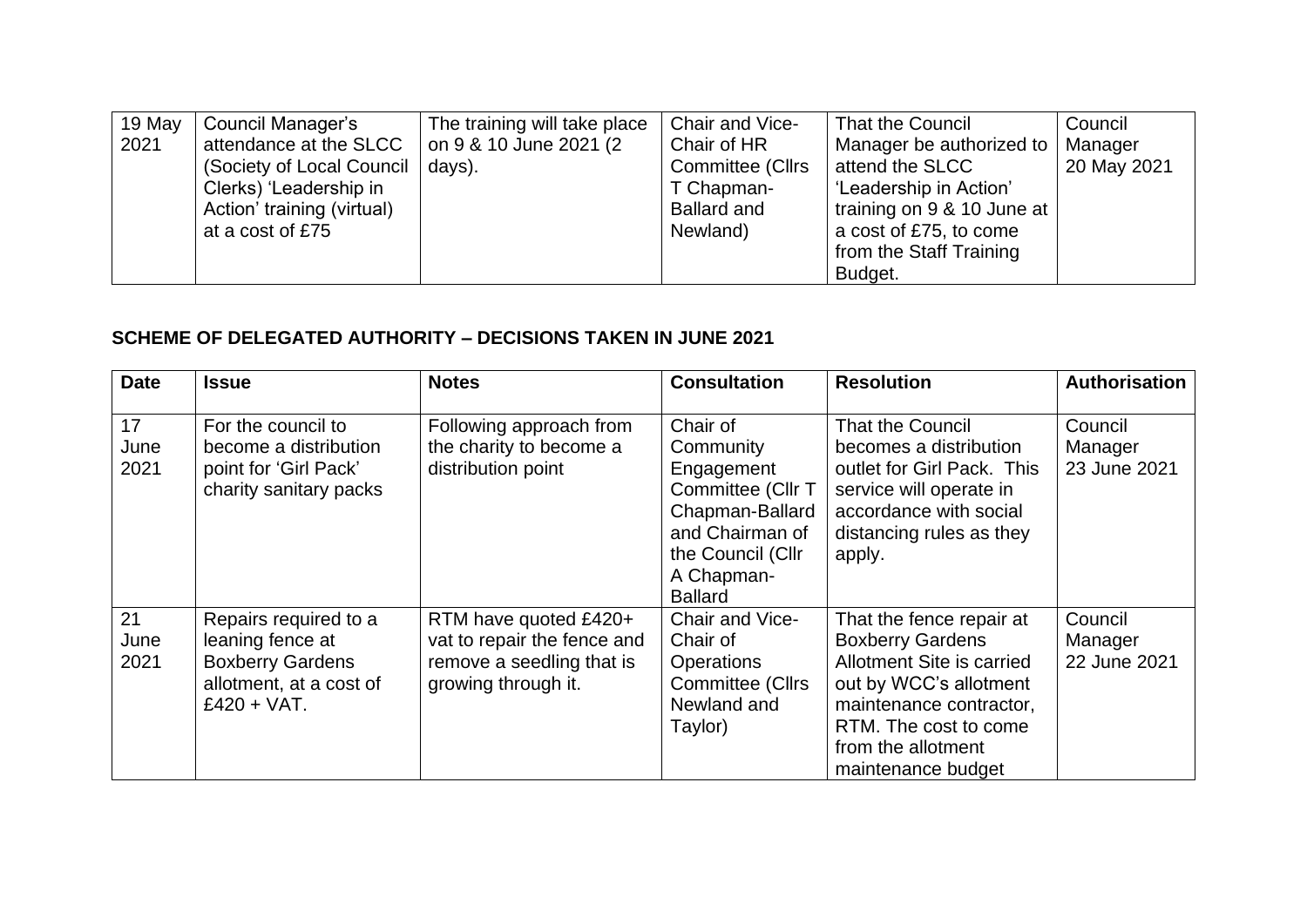| 19 May | Council Manager's          | The training will take place | Chair and Vice-    | That the Council           | Council     |
|--------|----------------------------|------------------------------|--------------------|----------------------------|-------------|
| 2021   | attendance at the SLCC     | on 9 & 10 June 2021 (2)      | Chair of HR        | Manager be authorized to   | Manager     |
|        | (Society of Local Council) | days).                       | Committee (Cllrs   | attend the SLCC            | 20 May 2021 |
|        | Clerks) 'Leadership in     |                              | T Chapman-         | 'Leadership in Action'     |             |
|        | Action' training (virtual) |                              | <b>Ballard and</b> | training on 9 & 10 June at |             |
|        | at a cost of £75           |                              | Newland)           | a cost of £75, to come     |             |
|        |                            |                              |                    | from the Staff Training    |             |
|        |                            |                              |                    | Budget.                    |             |

#### **SCHEME OF DELEGATED AUTHORITY – DECISIONS TAKEN IN JUNE 2021**

| <b>Date</b>        | <b>Issue</b>                                                                                                     | <b>Notes</b>                                                                                             | <b>Consultation</b>                                                                                                                                 | <b>Resolution</b>                                                                                                                                                                                          | <b>Authorisation</b>               |
|--------------------|------------------------------------------------------------------------------------------------------------------|----------------------------------------------------------------------------------------------------------|-----------------------------------------------------------------------------------------------------------------------------------------------------|------------------------------------------------------------------------------------------------------------------------------------------------------------------------------------------------------------|------------------------------------|
| 17<br>June<br>2021 | For the council to<br>become a distribution<br>point for 'Girl Pack'<br>charity sanitary packs                   | Following approach from<br>the charity to become a<br>distribution point                                 | Chair of<br>Community<br>Engagement<br>Committee (Cllr T<br>Chapman-Ballard<br>and Chairman of<br>the Council (Cllr<br>A Chapman-<br><b>Ballard</b> | <b>That the Council</b><br>becomes a distribution<br>outlet for Girl Pack. This<br>service will operate in<br>accordance with social<br>distancing rules as they<br>apply.                                 | Council<br>Manager<br>23 June 2021 |
| 21<br>June<br>2021 | Repairs required to a<br>leaning fence at<br><b>Boxberry Gardens</b><br>allotment, at a cost of<br>$£420 + VAT.$ | RTM have quoted £420+<br>vat to repair the fence and<br>remove a seedling that is<br>growing through it. | Chair and Vice-<br>Chair of<br>Operations<br>Committee (Cllrs<br>Newland and<br>Taylor)                                                             | That the fence repair at<br><b>Boxberry Gardens</b><br>Allotment Site is carried<br>out by WCC's allotment<br>maintenance contractor,<br>RTM. The cost to come<br>from the allotment<br>maintenance budget | Council<br>Manager<br>22 June 2021 |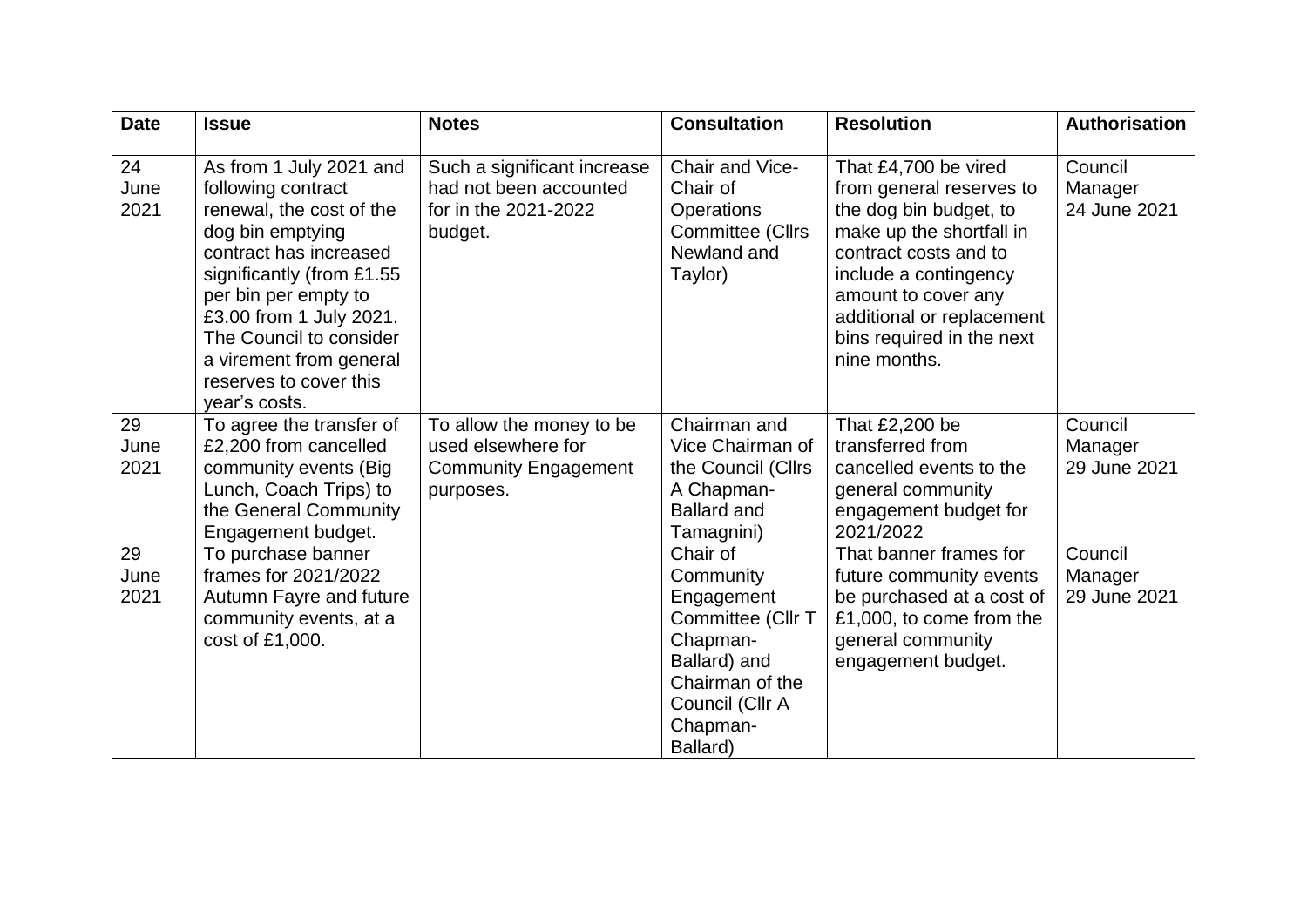| <b>Date</b>        | <b>Issue</b>                                                                                                                                                                                                                                                                                             | <b>Notes</b>                                                                               | <b>Consultation</b>                                                                                                                                | <b>Resolution</b>                                                                                                                                                                                                                                         | Authorisation                      |
|--------------------|----------------------------------------------------------------------------------------------------------------------------------------------------------------------------------------------------------------------------------------------------------------------------------------------------------|--------------------------------------------------------------------------------------------|----------------------------------------------------------------------------------------------------------------------------------------------------|-----------------------------------------------------------------------------------------------------------------------------------------------------------------------------------------------------------------------------------------------------------|------------------------------------|
| 24<br>June<br>2021 | As from 1 July 2021 and<br>following contract<br>renewal, the cost of the<br>dog bin emptying<br>contract has increased<br>significantly (from £1.55<br>per bin per empty to<br>£3.00 from 1 July 2021.<br>The Council to consider<br>a virement from general<br>reserves to cover this<br>vear's costs. | Such a significant increase<br>had not been accounted<br>for in the 2021-2022<br>budget.   | Chair and Vice-<br>Chair of<br><b>Operations</b><br>Committee (Cllrs<br>Newland and<br>Taylor)                                                     | That £4,700 be vired<br>from general reserves to<br>the dog bin budget, to<br>make up the shortfall in<br>contract costs and to<br>include a contingency<br>amount to cover any<br>additional or replacement<br>bins required in the next<br>nine months. | Council<br>Manager<br>24 June 2021 |
| 29<br>June<br>2021 | To agree the transfer of<br>£2,200 from cancelled<br>community events (Big<br>Lunch, Coach Trips) to<br>the General Community<br>Engagement budget.                                                                                                                                                      | To allow the money to be<br>used elsewhere for<br><b>Community Engagement</b><br>purposes. | Chairman and<br>Vice Chairman of<br>the Council (Cllrs<br>A Chapman-<br><b>Ballard and</b><br>Tamagnini)                                           | That £2,200 be<br>transferred from<br>cancelled events to the<br>general community<br>engagement budget for<br>2021/2022                                                                                                                                  | Council<br>Manager<br>29 June 2021 |
| 29<br>June<br>2021 | To purchase banner<br>frames for 2021/2022<br>Autumn Fayre and future<br>community events, at a<br>cost of £1,000.                                                                                                                                                                                       |                                                                                            | Chair of<br>Community<br>Engagement<br>Committee (Cllr T<br>Chapman-<br>Ballard) and<br>Chairman of the<br>Council (Cllr A<br>Chapman-<br>Ballard) | That banner frames for<br>future community events<br>be purchased at a cost of<br>£1,000, to come from the<br>general community<br>engagement budget.                                                                                                     | Council<br>Manager<br>29 June 2021 |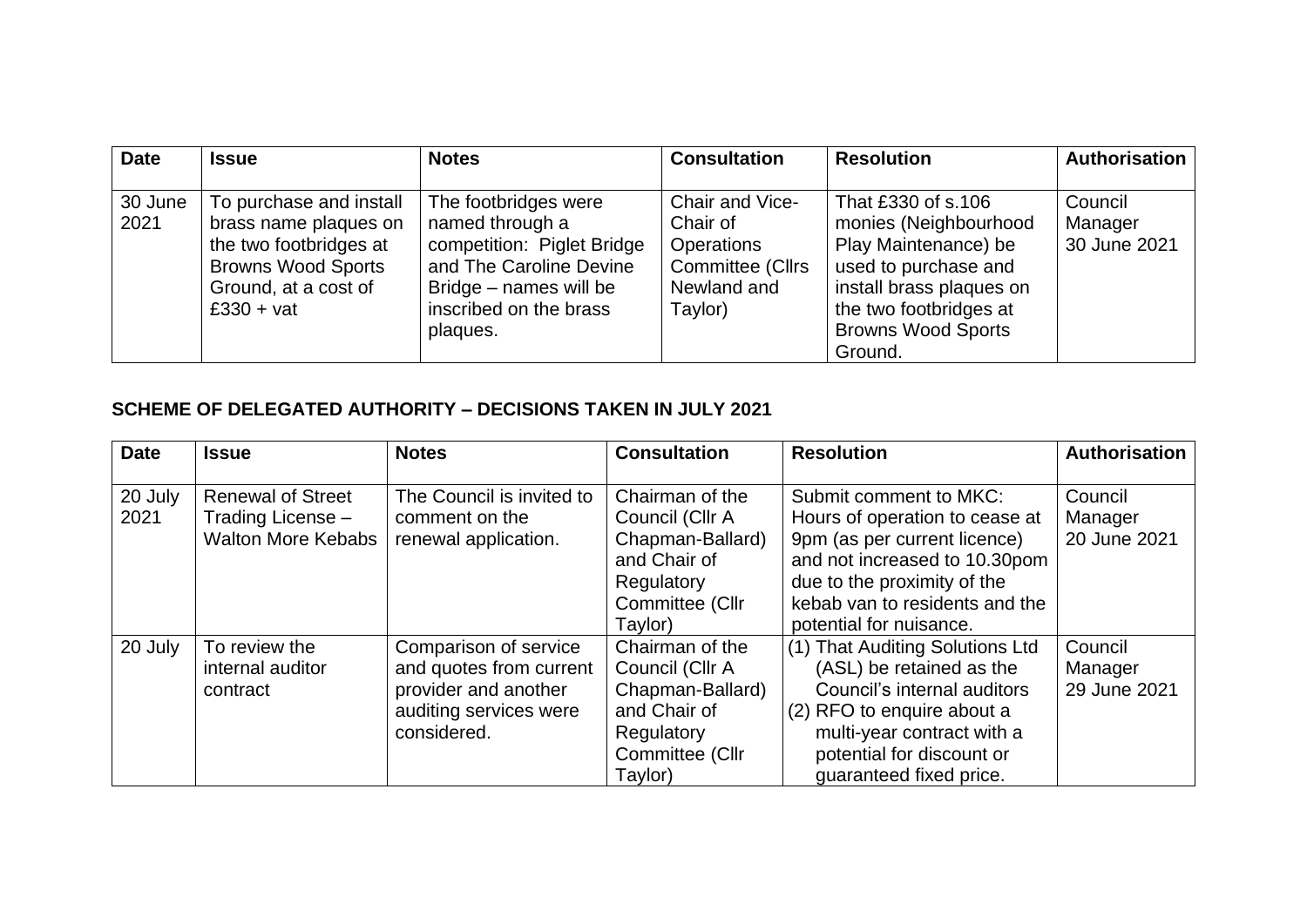| <b>Date</b>     | <b>Issue</b>                                                                                                                                    | <b>Notes</b>                                                                                                                                                     | <b>Consultation</b>                                                                                   | <b>Resolution</b>                                                                                                                                                                         | <b>Authorisation</b>               |
|-----------------|-------------------------------------------------------------------------------------------------------------------------------------------------|------------------------------------------------------------------------------------------------------------------------------------------------------------------|-------------------------------------------------------------------------------------------------------|-------------------------------------------------------------------------------------------------------------------------------------------------------------------------------------------|------------------------------------|
| 30 June<br>2021 | To purchase and install<br>brass name plaques on<br>the two footbridges at<br><b>Browns Wood Sports</b><br>Ground, at a cost of<br>$£330 + vat$ | The footbridges were<br>named through a<br>competition: Piglet Bridge<br>and The Caroline Devine<br>Bridge – names will be<br>inscribed on the brass<br>plaques. | Chair and Vice-<br>Chair of<br><b>Operations</b><br><b>Committee (Cllrs</b><br>Newland and<br>Taylor) | That £330 of s.106<br>monies (Neighbourhood<br>Play Maintenance) be<br>used to purchase and<br>install brass plaques on<br>the two footbridges at<br><b>Browns Wood Sports</b><br>Ground. | Council<br>Manager<br>30 June 2021 |

### **SCHEME OF DELEGATED AUTHORITY – DECISIONS TAKEN IN JULY 2021**

| <b>Date</b>     | <b>Issue</b>                                                               | <b>Notes</b>                                                                                                      | <b>Consultation</b>                                                                                                | <b>Resolution</b>                                                                                                                                                                                                     | <b>Authorisation</b>               |
|-----------------|----------------------------------------------------------------------------|-------------------------------------------------------------------------------------------------------------------|--------------------------------------------------------------------------------------------------------------------|-----------------------------------------------------------------------------------------------------------------------------------------------------------------------------------------------------------------------|------------------------------------|
| 20 July<br>2021 | <b>Renewal of Street</b><br>Trading License -<br><b>Walton More Kebabs</b> | The Council is invited to<br>comment on the<br>renewal application.                                               | Chairman of the<br>Council (Cllr A<br>Chapman-Ballard)<br>and Chair of<br>Regulatory<br>Committee (Cllr<br>Taylor) | Submit comment to MKC:<br>Hours of operation to cease at<br>9pm (as per current licence)<br>and not increased to 10.30pom<br>due to the proximity of the<br>kebab van to residents and the<br>potential for nuisance. | Council<br>Manager<br>20 June 2021 |
| 20 July         | To review the<br>internal auditor<br>contract                              | Comparison of service<br>and quotes from current<br>provider and another<br>auditing services were<br>considered. | Chairman of the<br>Council (Cllr A<br>Chapman-Ballard)<br>and Chair of<br>Regulatory<br>Committee (Cllr<br>Taylor) | (1) That Auditing Solutions Ltd<br>(ASL) be retained as the<br>Council's internal auditors<br>(2) RFO to enquire about a<br>multi-year contract with a<br>potential for discount or<br>quaranteed fixed price.        | Council<br>Manager<br>29 June 2021 |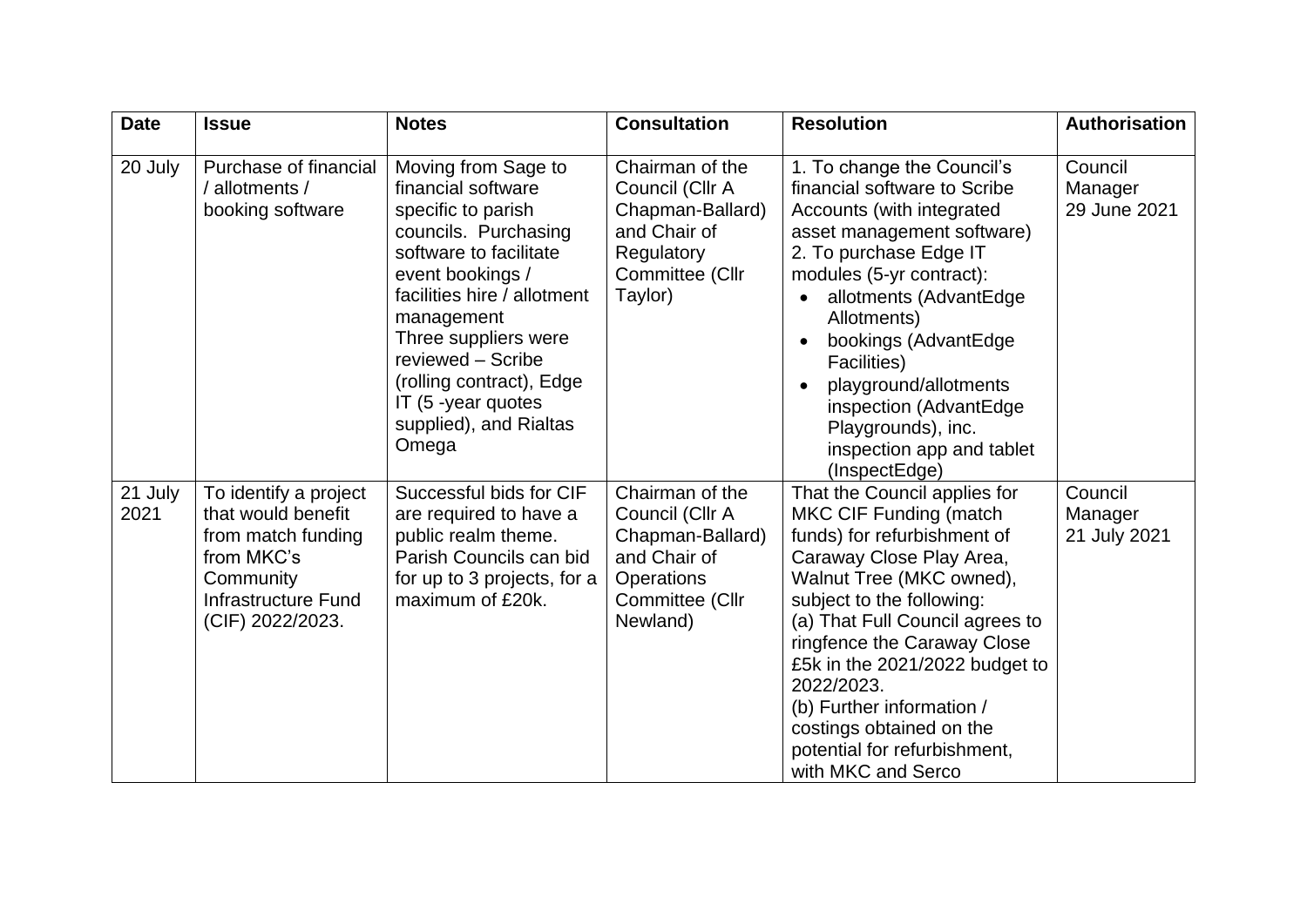| <b>Date</b>     | <b>Issue</b>                                                                                                                                   | <b>Notes</b>                                                                                                                                                                                                                                                                                                         | <b>Consultation</b>                                                                                                        | <b>Resolution</b>                                                                                                                                                                                                                                                                                                                                                                                                  | <b>Authorisation</b>               |
|-----------------|------------------------------------------------------------------------------------------------------------------------------------------------|----------------------------------------------------------------------------------------------------------------------------------------------------------------------------------------------------------------------------------------------------------------------------------------------------------------------|----------------------------------------------------------------------------------------------------------------------------|--------------------------------------------------------------------------------------------------------------------------------------------------------------------------------------------------------------------------------------------------------------------------------------------------------------------------------------------------------------------------------------------------------------------|------------------------------------|
| 20 July         | Purchase of financial<br>/ allotments /<br>booking software                                                                                    | Moving from Sage to<br>financial software<br>specific to parish<br>councils. Purchasing<br>software to facilitate<br>event bookings /<br>facilities hire / allotment<br>management<br>Three suppliers were<br>reviewed - Scribe<br>(rolling contract), Edge<br>IT (5 -year quotes<br>supplied), and Rialtas<br>Omega | Chairman of the<br>Council (Cllr A<br>Chapman-Ballard)<br>and Chair of<br>Regulatory<br>Committee (Cllr<br>Taylor)         | 1. To change the Council's<br>financial software to Scribe<br>Accounts (with integrated<br>asset management software)<br>2. To purchase Edge IT<br>modules (5-yr contract):<br>allotments (AdvantEdge<br>Allotments)<br>bookings (AdvantEdge<br>Facilities)<br>playground/allotments<br>inspection (AdvantEdge<br>Playgrounds), inc.<br>inspection app and tablet<br>(InspectEdge)                                 | Council<br>Manager<br>29 June 2021 |
| 21 July<br>2021 | To identify a project<br>that would benefit<br>from match funding<br>from MKC's<br>Community<br><b>Infrastructure Fund</b><br>(CIF) 2022/2023. | Successful bids for CIF<br>are required to have a<br>public realm theme.<br>Parish Councils can bid<br>for up to 3 projects, for a<br>maximum of £20k.                                                                                                                                                               | Chairman of the<br>Council (Cllr A<br>Chapman-Ballard)<br>and Chair of<br><b>Operations</b><br>Committee (Cllr<br>Newland) | That the Council applies for<br><b>MKC CIF Funding (match</b><br>funds) for refurbishment of<br>Caraway Close Play Area,<br>Walnut Tree (MKC owned),<br>subject to the following:<br>(a) That Full Council agrees to<br>ringfence the Caraway Close<br>£5k in the 2021/2022 budget to<br>2022/2023.<br>(b) Further information /<br>costings obtained on the<br>potential for refurbishment,<br>with MKC and Serco | Council<br>Manager<br>21 July 2021 |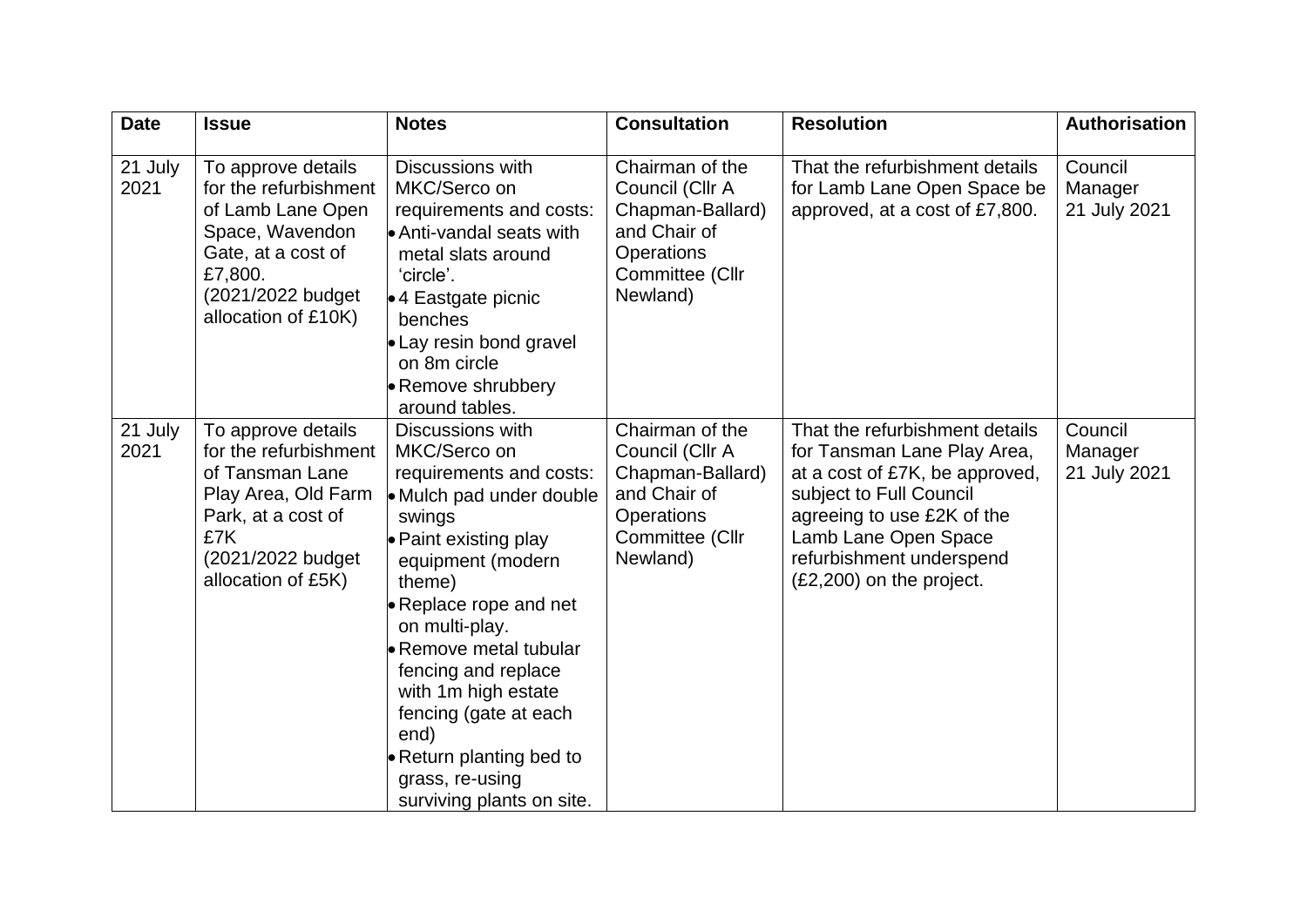| <b>Date</b>     | <b>Issue</b>                                                                                                                                                     | <b>Notes</b>                                                                                                                                                                                                                                                                                                                                                                                           | <b>Consultation</b>                                                                                                 | <b>Resolution</b>                                                                                                                                                                                                                          | <b>Authorisation</b>               |
|-----------------|------------------------------------------------------------------------------------------------------------------------------------------------------------------|--------------------------------------------------------------------------------------------------------------------------------------------------------------------------------------------------------------------------------------------------------------------------------------------------------------------------------------------------------------------------------------------------------|---------------------------------------------------------------------------------------------------------------------|--------------------------------------------------------------------------------------------------------------------------------------------------------------------------------------------------------------------------------------------|------------------------------------|
| 21 July<br>2021 | To approve details<br>for the refurbishment<br>of Lamb Lane Open<br>Space, Wavendon<br>Gate, at a cost of<br>£7,800.<br>(2021/2022 budget<br>allocation of £10K) | Discussions with<br>MKC/Serco on<br>requirements and costs:<br>Anti-vandal seats with<br>metal slats around<br>'circle'.<br>$\bullet$ 4 Eastgate picnic<br>benches<br>• Lay resin bond gravel<br>on 8m circle<br><b>Remove shrubbery</b><br>around tables.                                                                                                                                             | Chairman of the<br>Council (Cllr A<br>Chapman-Ballard)<br>and Chair of<br>Operations<br>Committee (Cllr<br>Newland) | That the refurbishment details<br>for Lamb Lane Open Space be<br>approved, at a cost of £7,800.                                                                                                                                            | Council<br>Manager<br>21 July 2021 |
| 21 July<br>2021 | To approve details<br>for the refurbishment<br>of Tansman Lane<br>Play Area, Old Farm<br>Park, at a cost of<br>£7K<br>(2021/2022 budget<br>allocation of £5K)    | Discussions with<br>MKC/Serco on<br>requirements and costs:<br>• Mulch pad under double<br>swings<br>• Paint existing play<br>equipment (modern<br>theme)<br>• Replace rope and net<br>on multi-play.<br><b>Remove metal tubular</b><br>fencing and replace<br>with 1m high estate<br>fencing (gate at each<br>end)<br><b>• Return planting bed to</b><br>grass, re-using<br>surviving plants on site. | Chairman of the<br>Council (Cllr A<br>Chapman-Ballard)<br>and Chair of<br>Operations<br>Committee (Cllr<br>Newland) | That the refurbishment details<br>for Tansman Lane Play Area,<br>at a cost of £7K, be approved,<br>subject to Full Council<br>agreeing to use £2K of the<br>Lamb Lane Open Space<br>refurbishment underspend<br>$(E2,200)$ on the project. | Council<br>Manager<br>21 July 2021 |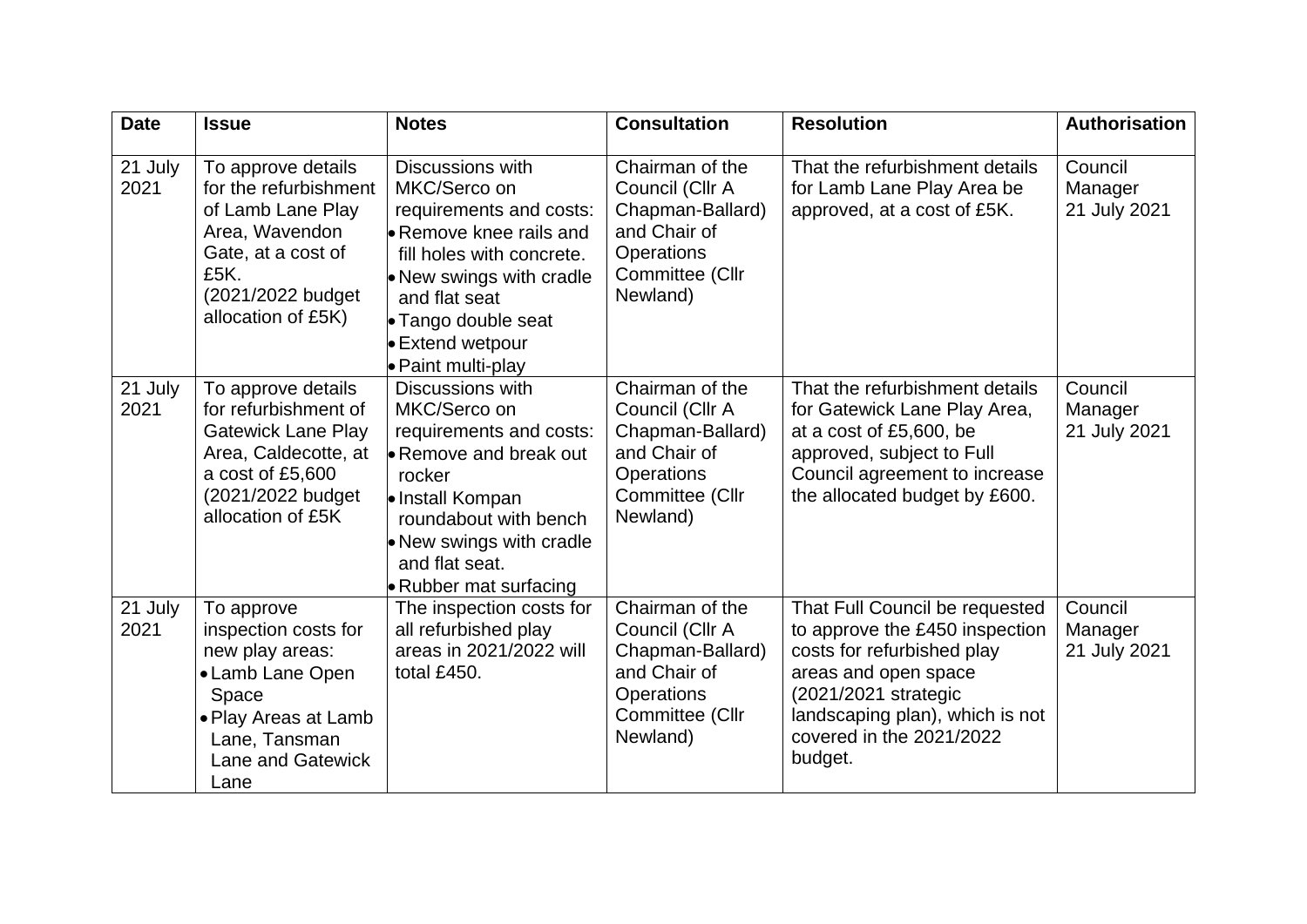| <b>Date</b>     | <b>Issue</b>                                                                                                                                                    | <b>Notes</b>                                                                                                                                                                                                                                | <b>Consultation</b>                                                                                                        | <b>Resolution</b>                                                                                                                                                                                                        | <b>Authorisation</b>               |
|-----------------|-----------------------------------------------------------------------------------------------------------------------------------------------------------------|---------------------------------------------------------------------------------------------------------------------------------------------------------------------------------------------------------------------------------------------|----------------------------------------------------------------------------------------------------------------------------|--------------------------------------------------------------------------------------------------------------------------------------------------------------------------------------------------------------------------|------------------------------------|
| 21 July<br>2021 | To approve details<br>for the refurbishment<br>of Lamb Lane Play<br>Area, Wavendon<br>Gate, at a cost of<br>£5K.<br>(2021/2022 budget)<br>allocation of £5K)    | Discussions with<br>MKC/Serco on<br>requirements and costs:<br><b>Remove knee rails and</b><br>fill holes with concrete.<br>• New swings with cradle<br>and flat seat<br>• Tango double seat<br><b>Extend wetpour</b><br>● Paint multi-play | Chairman of the<br>Council (Cllr A<br>Chapman-Ballard)<br>and Chair of<br>Operations<br>Committee (Cllr<br>Newland)        | That the refurbishment details<br>for Lamb Lane Play Area be<br>approved, at a cost of £5K.                                                                                                                              | Council<br>Manager<br>21 July 2021 |
| 21 July<br>2021 | To approve details<br>for refurbishment of<br><b>Gatewick Lane Play</b><br>Area, Caldecotte, at<br>a cost of £5,600<br>(2021/2022 budget)<br>allocation of £5K  | Discussions with<br>MKC/Serco on<br>requirements and costs:<br>► Remove and break out<br>rocker<br>le Install Kompan<br>roundabout with bench<br>• New swings with cradle<br>and flat seat.<br><b>Rubber mat surfacing</b>                  | Chairman of the<br>Council (Cllr A<br>Chapman-Ballard)<br>and Chair of<br><b>Operations</b><br>Committee (Cllr<br>Newland) | That the refurbishment details<br>for Gatewick Lane Play Area,<br>at a cost of £5,600, be<br>approved, subject to Full<br>Council agreement to increase<br>the allocated budget by £600.                                 | Council<br>Manager<br>21 July 2021 |
| 21 July<br>2021 | To approve<br>inspection costs for<br>new play areas:<br>• Lamb Lane Open<br>Space<br>• Play Areas at Lamb<br>Lane, Tansman<br><b>Lane and Gatewick</b><br>Lane | The inspection costs for<br>all refurbished play<br>areas in 2021/2022 will<br>total £450.                                                                                                                                                  | Chairman of the<br>Council (Cllr A<br>Chapman-Ballard)<br>and Chair of<br><b>Operations</b><br>Committee (Cllr<br>Newland) | That Full Council be requested<br>to approve the £450 inspection<br>costs for refurbished play<br>areas and open space<br>(2021/2021 strategic<br>landscaping plan), which is not<br>covered in the 2021/2022<br>budget. | Council<br>Manager<br>21 July 2021 |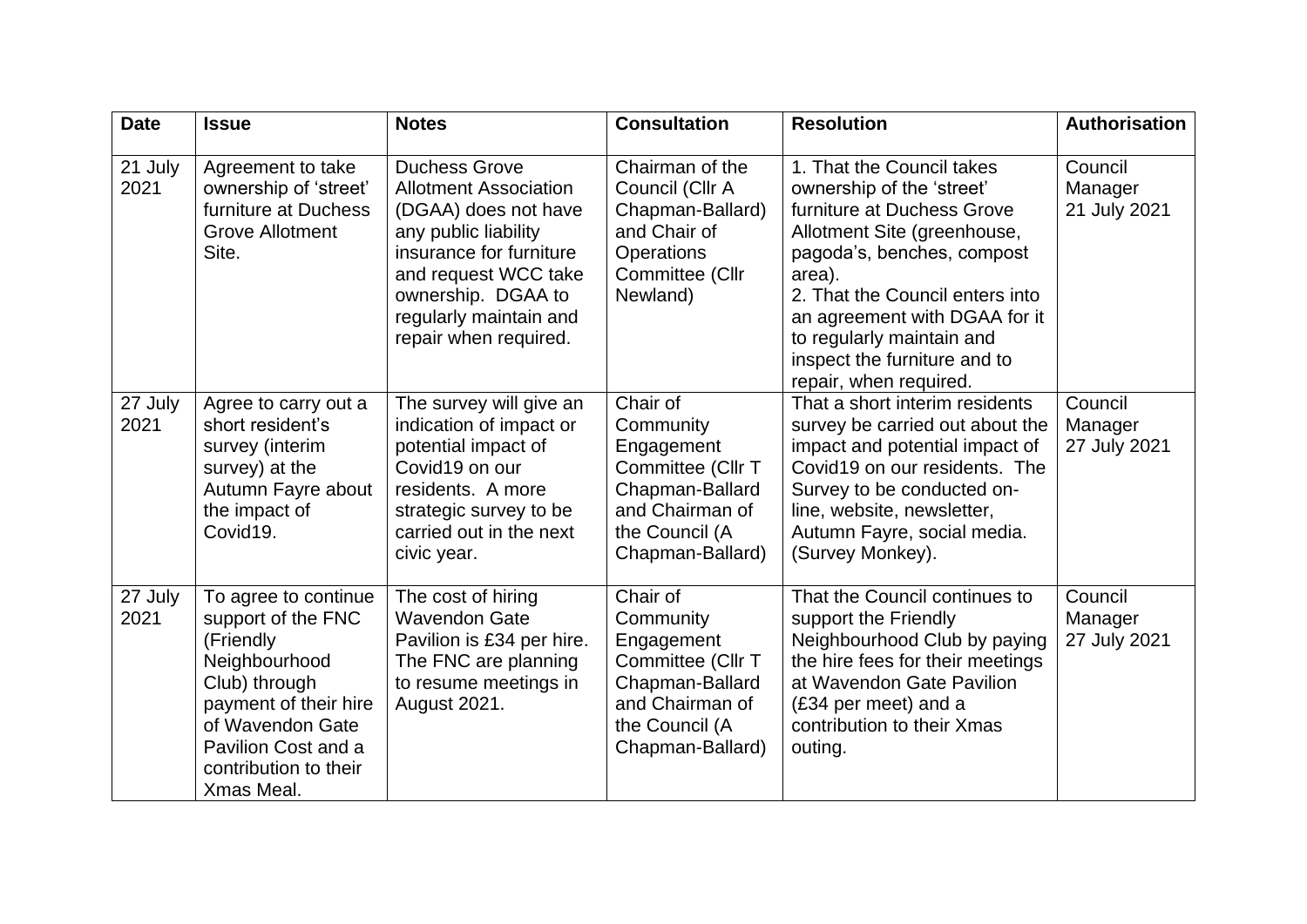| <b>Date</b>     | <b>Issue</b>                                                                                                                                                                                         | <b>Notes</b>                                                                                                                                                                                                                     | <b>Consultation</b>                                                                                                                  | <b>Resolution</b>                                                                                                                                                                                                                                                                                                      | <b>Authorisation</b>               |
|-----------------|------------------------------------------------------------------------------------------------------------------------------------------------------------------------------------------------------|----------------------------------------------------------------------------------------------------------------------------------------------------------------------------------------------------------------------------------|--------------------------------------------------------------------------------------------------------------------------------------|------------------------------------------------------------------------------------------------------------------------------------------------------------------------------------------------------------------------------------------------------------------------------------------------------------------------|------------------------------------|
| 21 July<br>2021 | Agreement to take<br>ownership of 'street'<br>furniture at Duchess<br><b>Grove Allotment</b><br>Site.                                                                                                | <b>Duchess Grove</b><br><b>Allotment Association</b><br>(DGAA) does not have<br>any public liability<br>insurance for furniture<br>and request WCC take<br>ownership. DGAA to<br>regularly maintain and<br>repair when required. | Chairman of the<br>Council (Cllr A<br>Chapman-Ballard)<br>and Chair of<br>Operations<br>Committee (Cllr<br>Newland)                  | 1. That the Council takes<br>ownership of the 'street'<br>furniture at Duchess Grove<br>Allotment Site (greenhouse,<br>pagoda's, benches, compost<br>area).<br>2. That the Council enters into<br>an agreement with DGAA for it<br>to regularly maintain and<br>inspect the furniture and to<br>repair, when required. | Council<br>Manager<br>21 July 2021 |
| 27 July<br>2021 | Agree to carry out a<br>short resident's<br>survey (interim<br>survey) at the<br>Autumn Fayre about<br>the impact of<br>Covid19.                                                                     | The survey will give an<br>indication of impact or<br>potential impact of<br>Covid19 on our<br>residents. A more<br>strategic survey to be<br>carried out in the next<br>civic year.                                             | Chair of<br>Community<br>Engagement<br>Committee (Cllr T<br>Chapman-Ballard<br>and Chairman of<br>the Council (A<br>Chapman-Ballard) | That a short interim residents<br>survey be carried out about the<br>impact and potential impact of<br>Covid19 on our residents. The<br>Survey to be conducted on-<br>line, website, newsletter,<br>Autumn Fayre, social media.<br>(Survey Monkey).                                                                    | Council<br>Manager<br>27 July 2021 |
| 27 July<br>2021 | To agree to continue<br>support of the FNC<br>(Friendly<br>Neighbourhood<br>Club) through<br>payment of their hire<br>of Wavendon Gate<br>Pavilion Cost and a<br>contribution to their<br>Xmas Meal. | The cost of hiring<br><b>Wavendon Gate</b><br>Pavilion is £34 per hire.<br>The FNC are planning<br>to resume meetings in<br>August 2021.                                                                                         | Chair of<br>Community<br>Engagement<br>Committee (Cllr T<br>Chapman-Ballard<br>and Chairman of<br>the Council (A<br>Chapman-Ballard) | That the Council continues to<br>support the Friendly<br>Neighbourhood Club by paying<br>the hire fees for their meetings<br>at Wavendon Gate Pavilion<br>(£34 per meet) and a<br>contribution to their Xmas<br>outing.                                                                                                | Council<br>Manager<br>27 July 2021 |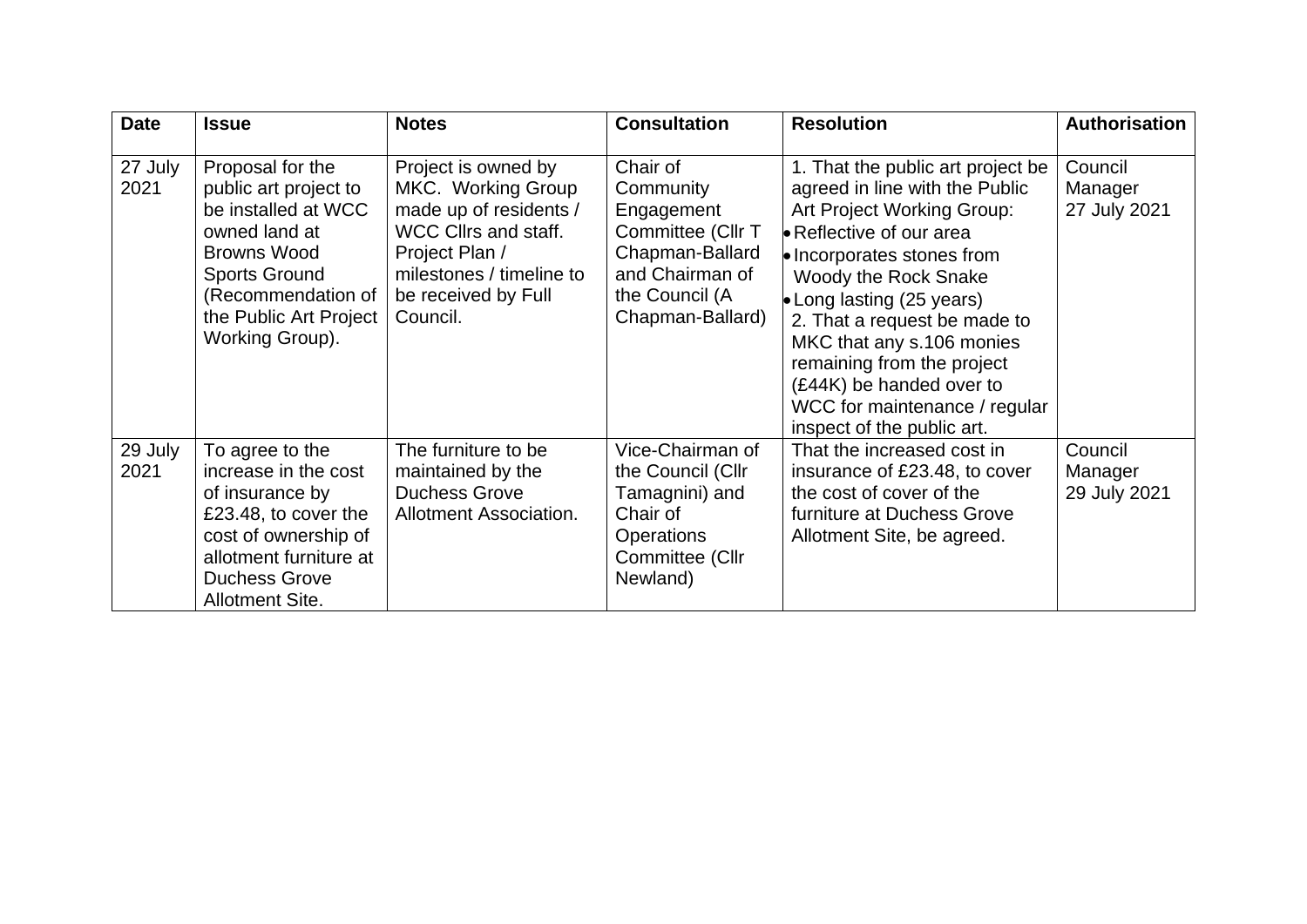| <b>Date</b>     | <b>Issue</b>                                                                                                                                                                                       | <b>Notes</b>                                                                                                                                                                        | <b>Consultation</b>                                                                                                                  | <b>Resolution</b>                                                                                                                                                                                                                                                                                                                                                                                            | <b>Authorisation</b>               |
|-----------------|----------------------------------------------------------------------------------------------------------------------------------------------------------------------------------------------------|-------------------------------------------------------------------------------------------------------------------------------------------------------------------------------------|--------------------------------------------------------------------------------------------------------------------------------------|--------------------------------------------------------------------------------------------------------------------------------------------------------------------------------------------------------------------------------------------------------------------------------------------------------------------------------------------------------------------------------------------------------------|------------------------------------|
| 27 July<br>2021 | Proposal for the<br>public art project to<br>be installed at WCC<br>owned land at<br><b>Browns Wood</b><br><b>Sports Ground</b><br>(Recommendation of<br>the Public Art Project<br>Working Group). | Project is owned by<br>MKC. Working Group<br>made up of residents /<br><b>WCC Cllrs and staff.</b><br>Project Plan /<br>milestones / timeline to<br>be received by Full<br>Council. | Chair of<br>Community<br>Engagement<br>Committee (Cllr T<br>Chapman-Ballard<br>and Chairman of<br>the Council (A<br>Chapman-Ballard) | 1. That the public art project be<br>agreed in line with the Public<br>Art Project Working Group:<br>Reflective of our area<br>Incorporates stones from<br>Woody the Rock Snake<br>• Long lasting $(25 \text{ years})$<br>2. That a request be made to<br>MKC that any s.106 monies<br>remaining from the project<br>(£44K) be handed over to<br>WCC for maintenance / regular<br>inspect of the public art. | Council<br>Manager<br>27 July 2021 |
| 29 July<br>2021 | To agree to the<br>increase in the cost<br>of insurance by<br>£23.48, to cover the<br>cost of ownership of<br>allotment furniture at<br><b>Duchess Grove</b><br>Allotment Site.                    | The furniture to be<br>maintained by the<br><b>Duchess Grove</b><br>Allotment Association.                                                                                          | Vice-Chairman of<br>the Council (Cllr<br>Tamagnini) and<br>Chair of<br><b>Operations</b><br>Committee (Cllr<br>Newland)              | That the increased cost in<br>insurance of £23.48, to cover<br>the cost of cover of the<br>furniture at Duchess Grove<br>Allotment Site, be agreed.                                                                                                                                                                                                                                                          | Council<br>Manager<br>29 July 2021 |